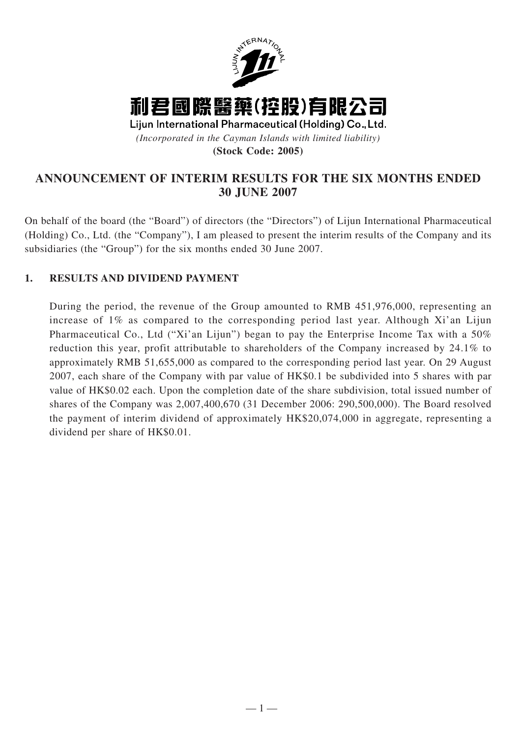

# **ANNOUNCEMENT OF INTERIM RESULTS FOR THE SIX MONTHS ENDED 30 JUNE 2007**

On behalf of the board (the "Board") of directors (the "Directors") of Lijun International Pharmaceutical (Holding) Co., Ltd. (the "Company"), I am pleased to present the interim results of the Company and its subsidiaries (the "Group") for the six months ended 30 June 2007.

# **1. RESULTS AND DIVIDEND PAYMENT**

During the period, the revenue of the Group amounted to RMB 451,976,000, representing an increase of 1% as compared to the corresponding period last year. Although Xi'an Lijun Pharmaceutical Co., Ltd ("Xi'an Lijun") began to pay the Enterprise Income Tax with a 50% reduction this year, profit attributable to shareholders of the Company increased by 24.1% to approximately RMB 51,655,000 as compared to the corresponding period last year. On 29 August 2007, each share of the Company with par value of HK\$0.1 be subdivided into 5 shares with par value of HK\$0.02 each. Upon the completion date of the share subdivision, total issued number of shares of the Company was 2,007,400,670 (31 December 2006: 290,500,000). The Board resolved the payment of interim dividend of approximately HK\$20,074,000 in aggregate, representing a dividend per share of HK\$0.01.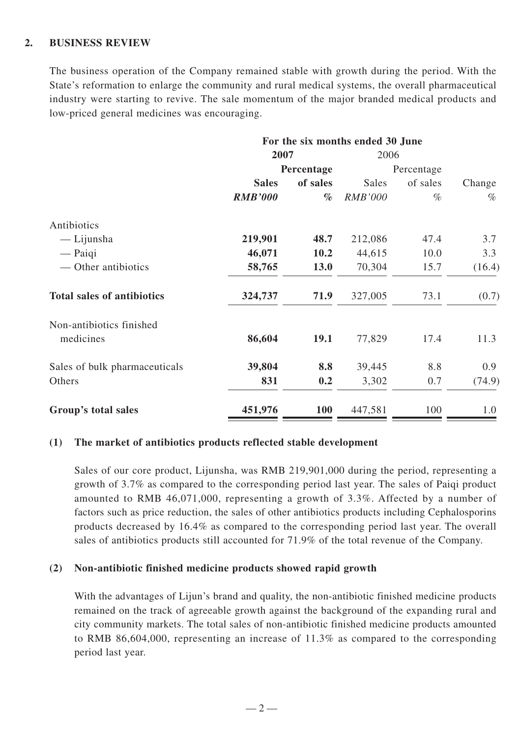### **2. BUSINESS REVIEW**

The business operation of the Company remained stable with growth during the period. With the State's reformation to enlarge the community and rural medical systems, the overall pharmaceutical industry were starting to revive. The sale momentum of the major branded medical products and low-priced general medicines was encouraging.

|                                   | For the six months ended 30 June |            |                |            |        |  |
|-----------------------------------|----------------------------------|------------|----------------|------------|--------|--|
|                                   | 2007                             |            | 2006           |            |        |  |
|                                   |                                  | Percentage |                | Percentage |        |  |
|                                   | <b>Sales</b>                     | of sales   | <b>Sales</b>   | of sales   | Change |  |
|                                   | <b>RMB'000</b>                   | $\%$       | <b>RMB'000</b> | $\%$       | $\%$   |  |
| Antibiotics                       |                                  |            |                |            |        |  |
| — Lijunsha                        | 219,901                          | 48.7       | 212,086        | 47.4       | 3.7    |  |
| $-$ Paiqi                         | 46,071                           | 10.2       | 44,615         | 10.0       | 3.3    |  |
| — Other antibiotics               | 58,765                           | 13.0       | 70,304         | 15.7       | (16.4) |  |
| <b>Total sales of antibiotics</b> | 324,737                          | 71.9       | 327,005        | 73.1       | (0.7)  |  |
| Non-antibiotics finished          |                                  |            |                |            |        |  |
| medicines                         | 86,604                           | 19.1       | 77,829         | 17.4       | 11.3   |  |
| Sales of bulk pharmaceuticals     | 39,804                           | 8.8        | 39,445         | 8.8        | 0.9    |  |
| Others                            | 831                              | 0.2        | 3,302          | 0.7        | (74.9) |  |
| Group's total sales               | 451,976                          | <b>100</b> | 447,581        | 100        | 1.0    |  |

### **(1) The market of antibiotics products reflected stable development**

Sales of our core product, Lijunsha, was RMB 219,901,000 during the period, representing a growth of 3.7% as compared to the corresponding period last year. The sales of Paiqi product amounted to RMB 46,071,000, representing a growth of 3.3%. Affected by a number of factors such as price reduction, the sales of other antibiotics products including Cephalosporins products decreased by 16.4% as compared to the corresponding period last year. The overall sales of antibiotics products still accounted for 71.9% of the total revenue of the Company.

### **(2) Non-antibiotic finished medicine products showed rapid growth**

With the advantages of Lijun's brand and quality, the non-antibiotic finished medicine products remained on the track of agreeable growth against the background of the expanding rural and city community markets. The total sales of non-antibiotic finished medicine products amounted to RMB 86,604,000, representing an increase of 11.3% as compared to the corresponding period last year.

 $-2-$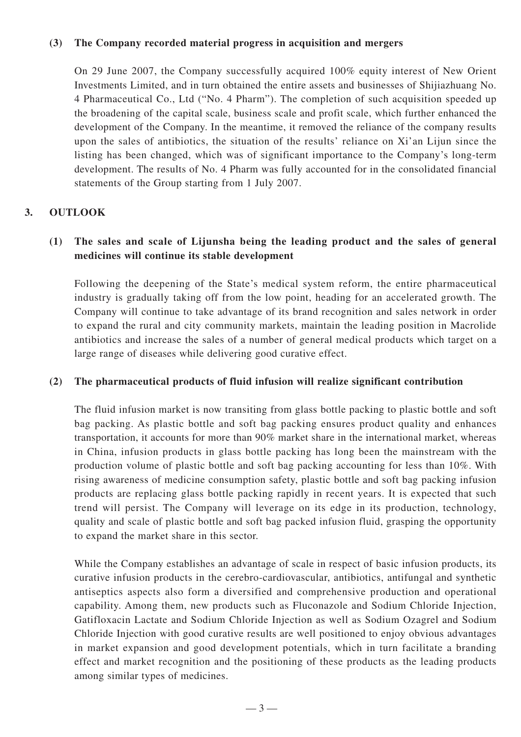### **(3) The Company recorded material progress in acquisition and mergers**

On 29 June 2007, the Company successfully acquired 100% equity interest of New Orient Investments Limited, and in turn obtained the entire assets and businesses of Shijiazhuang No. 4 Pharmaceutical Co., Ltd ("No. 4 Pharm"). The completion of such acquisition speeded up the broadening of the capital scale, business scale and profit scale, which further enhanced the development of the Company. In the meantime, it removed the reliance of the company results upon the sales of antibiotics, the situation of the results' reliance on Xi'an Lijun since the listing has been changed, which was of significant importance to the Company's long-term development. The results of No. 4 Pharm was fully accounted for in the consolidated financial statements of the Group starting from 1 July 2007.

# **3. OUTLOOK**

# **(1) The sales and scale of Lijunsha being the leading product and the sales of general medicines will continue its stable development**

Following the deepening of the State's medical system reform, the entire pharmaceutical industry is gradually taking off from the low point, heading for an accelerated growth. The Company will continue to take advantage of its brand recognition and sales network in order to expand the rural and city community markets, maintain the leading position in Macrolide antibiotics and increase the sales of a number of general medical products which target on a large range of diseases while delivering good curative effect.

### **(2) The pharmaceutical products of fluid infusion will realize significant contribution**

The fluid infusion market is now transiting from glass bottle packing to plastic bottle and soft bag packing. As plastic bottle and soft bag packing ensures product quality and enhances transportation, it accounts for more than 90% market share in the international market, whereas in China, infusion products in glass bottle packing has long been the mainstream with the production volume of plastic bottle and soft bag packing accounting for less than 10%. With rising awareness of medicine consumption safety, plastic bottle and soft bag packing infusion products are replacing glass bottle packing rapidly in recent years. It is expected that such trend will persist. The Company will leverage on its edge in its production, technology, quality and scale of plastic bottle and soft bag packed infusion fluid, grasping the opportunity to expand the market share in this sector.

While the Company establishes an advantage of scale in respect of basic infusion products, its curative infusion products in the cerebro-cardiovascular, antibiotics, antifungal and synthetic antiseptics aspects also form a diversified and comprehensive production and operational capability. Among them, new products such as Fluconazole and Sodium Chloride Injection, Gatifloxacin Lactate and Sodium Chloride Injection as well as Sodium Ozagrel and Sodium Chloride Injection with good curative results are well positioned to enjoy obvious advantages in market expansion and good development potentials, which in turn facilitate a branding effect and market recognition and the positioning of these products as the leading products among similar types of medicines.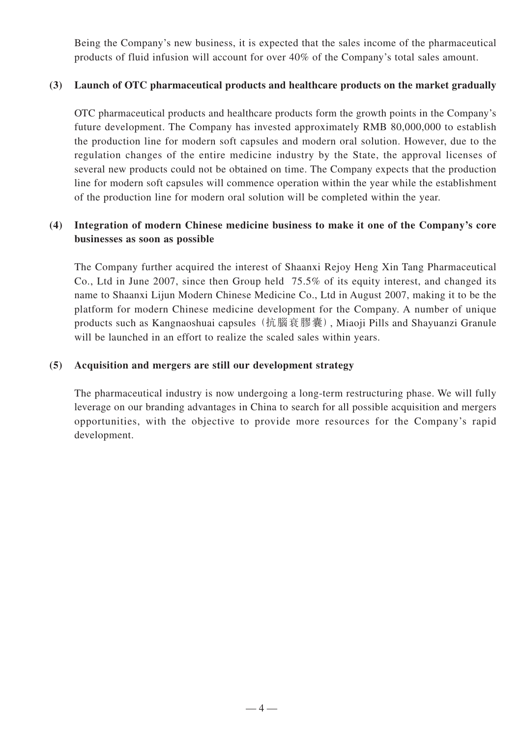Being the Company's new business, it is expected that the sales income of the pharmaceutical products of fluid infusion will account for over 40% of the Company's total sales amount.

### **(3) Launch of OTC pharmaceutical products and healthcare products on the market gradually**

OTC pharmaceutical products and healthcare products form the growth points in the Company's future development. The Company has invested approximately RMB 80,000,000 to establish the production line for modern soft capsules and modern oral solution. However, due to the regulation changes of the entire medicine industry by the State, the approval licenses of several new products could not be obtained on time. The Company expects that the production line for modern soft capsules will commence operation within the year while the establishment of the production line for modern oral solution will be completed within the year.

# **(4) Integration of modern Chinese medicine business to make it one of the Company's core businesses as soon as possible**

The Company further acquired the interest of Shaanxi Rejoy Heng Xin Tang Pharmaceutical Co., Ltd in June 2007, since then Group held 75.5% of its equity interest, and changed its name to Shaanxi Lijun Modern Chinese Medicine Co., Ltd in August 2007, making it to be the platform for modern Chinese medicine development for the Company. A number of unique products such as Kangnaoshuai capsules (抗腦衰膠囊), Miaoji Pills and Shayuanzi Granule will be launched in an effort to realize the scaled sales within years.

### **(5) Acquisition and mergers are still our development strategy**

The pharmaceutical industry is now undergoing a long-term restructuring phase. We will fully leverage on our branding advantages in China to search for all possible acquisition and mergers opportunities, with the objective to provide more resources for the Company's rapid development.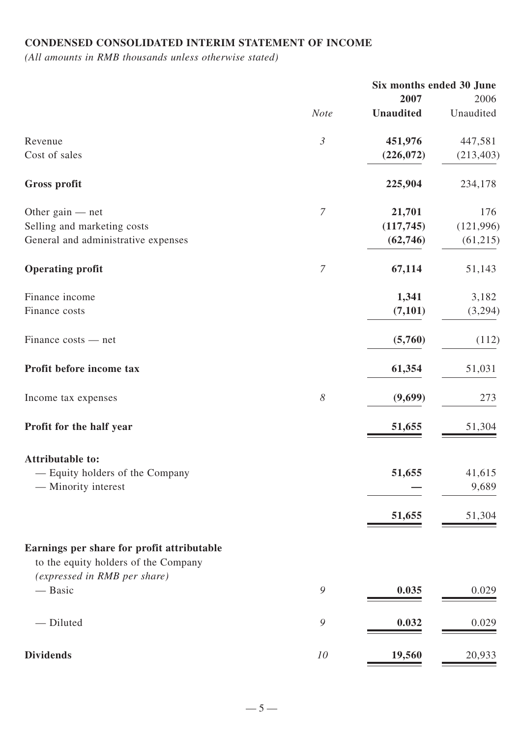# **CONDENSED CONSOLIDATED INTERIM STATEMENT OF INCOME**

*(All amounts in RMB thousands unless otherwise stated)*

|                                                                      |                       |                  | Six months ended 30 June |  |
|----------------------------------------------------------------------|-----------------------|------------------|--------------------------|--|
|                                                                      |                       | 2007             | 2006                     |  |
|                                                                      | <b>Note</b>           | <b>Unaudited</b> | Unaudited                |  |
| Revenue                                                              | $\mathfrak{Z}$        | 451,976          | 447,581                  |  |
| Cost of sales                                                        |                       | (226, 072)       | (213, 403)               |  |
| <b>Gross profit</b>                                                  |                       | 225,904          | 234,178                  |  |
| Other gain $-$ net                                                   | $\overline{7}$        | 21,701           | 176                      |  |
| Selling and marketing costs                                          |                       | (117, 745)       | (121, 996)               |  |
| General and administrative expenses                                  |                       | (62, 746)        | (61, 215)                |  |
| <b>Operating profit</b>                                              | $\overline{7}$        | 67,114           | 51,143                   |  |
| Finance income                                                       |                       | 1,341            | 3,182                    |  |
| Finance costs                                                        |                       | (7, 101)         | (3,294)                  |  |
| Finance costs — net                                                  |                       | (5,760)          | (112)                    |  |
| Profit before income tax                                             |                       | 61,354           | 51,031                   |  |
| Income tax expenses                                                  | $\boldsymbol{\delta}$ | (9,699)          | 273                      |  |
| Profit for the half year                                             |                       | 51,655           | 51,304                   |  |
| <b>Attributable to:</b>                                              |                       |                  |                          |  |
| - Equity holders of the Company                                      |                       | 51,655           | 41,615                   |  |
| — Minority interest                                                  |                       |                  | 9,689                    |  |
|                                                                      |                       | 51,655           | 51,304                   |  |
| Earnings per share for profit attributable                           |                       |                  |                          |  |
| to the equity holders of the Company<br>(expressed in RMB per share) |                       |                  |                          |  |
| — Basic                                                              | 9                     | 0.035            | 0.029                    |  |
| - Diluted                                                            | $\mathcal{G}$         | 0.032            | 0.029                    |  |
|                                                                      |                       |                  |                          |  |
| <b>Dividends</b>                                                     | 10                    | 19,560           | 20,933                   |  |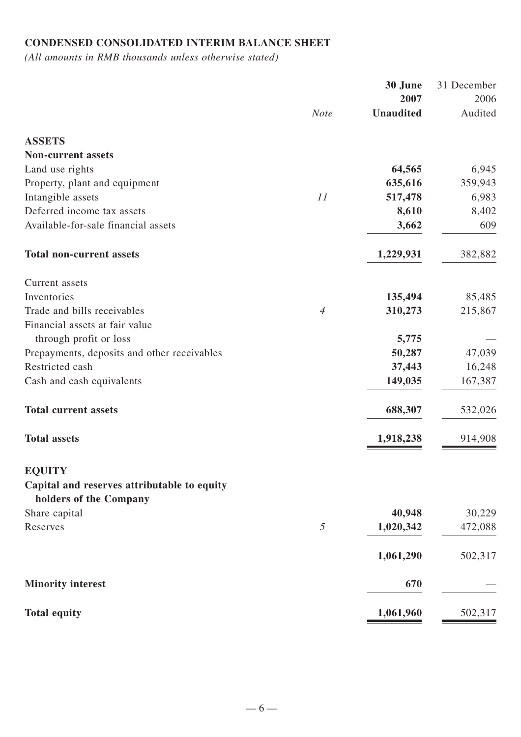# **CONDENSED CONSOLIDATED INTERIM BALANCE SHEET**

*(All amounts in RMB thousands unless otherwise stated)*

|                | 30 June          | 31 December                                                 |
|----------------|------------------|-------------------------------------------------------------|
|                | 2007             | 2006                                                        |
| <b>Note</b>    | <b>Unaudited</b> | Audited                                                     |
|                |                  |                                                             |
|                |                  |                                                             |
|                | 64,565           | 6,945                                                       |
|                | 635,616          | 359,943                                                     |
| 11             | 517,478          | 6,983                                                       |
|                | 8,610            | 8,402                                                       |
|                | 3,662            | 609                                                         |
|                | 1,229,931        | 382,882                                                     |
|                |                  |                                                             |
|                | 135,494          | 85,485                                                      |
| $\overline{4}$ | 310,273          | 215,867                                                     |
|                |                  |                                                             |
|                |                  |                                                             |
|                |                  | 47,039                                                      |
|                |                  | 16,248                                                      |
|                |                  | 167,387                                                     |
|                | 688,307          | 532,026                                                     |
|                | 1,918,238        | 914,908                                                     |
|                |                  |                                                             |
|                |                  |                                                             |
|                |                  |                                                             |
|                |                  | 30,229<br>472,088                                           |
|                |                  |                                                             |
|                | 1,061,290        | 502,317                                                     |
|                | 670              |                                                             |
|                | 1,061,960        | 502,317                                                     |
|                | 5                | 5,775<br>50,287<br>37,443<br>149,035<br>40,948<br>1,020,342 |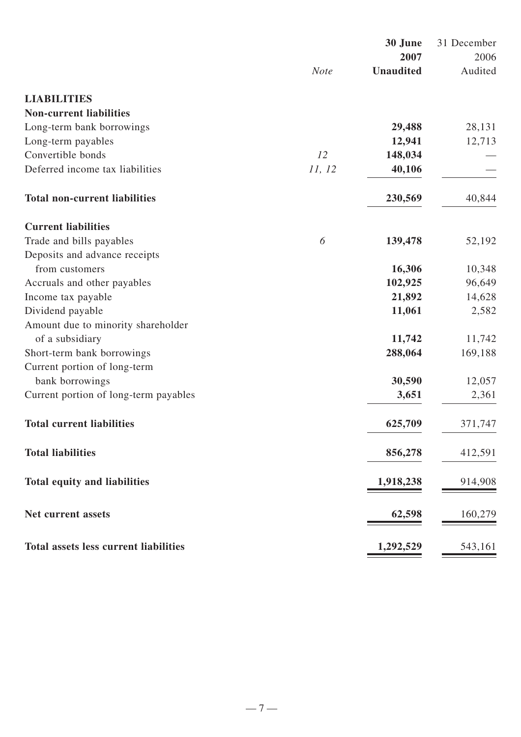|                                              |             | 30 June          | 31 December |
|----------------------------------------------|-------------|------------------|-------------|
|                                              |             | 2007             | 2006        |
|                                              | <b>Note</b> | <b>Unaudited</b> | Audited     |
| <b>LIABILITIES</b>                           |             |                  |             |
| <b>Non-current liabilities</b>               |             |                  |             |
| Long-term bank borrowings                    |             | 29,488           | 28,131      |
| Long-term payables                           |             | 12,941           | 12,713      |
| Convertible bonds                            | 12          | 148,034          |             |
| Deferred income tax liabilities              | 11, 12      | 40,106           |             |
| <b>Total non-current liabilities</b>         |             | 230,569          | 40,844      |
| <b>Current liabilities</b>                   |             |                  |             |
| Trade and bills payables                     | 6           | 139,478          | 52,192      |
| Deposits and advance receipts                |             |                  |             |
| from customers                               |             | 16,306           | 10,348      |
| Accruals and other payables                  |             | 102,925          | 96,649      |
| Income tax payable                           |             | 21,892           | 14,628      |
| Dividend payable                             |             | 11,061           | 2,582       |
| Amount due to minority shareholder           |             |                  |             |
| of a subsidiary                              |             | 11,742           | 11,742      |
| Short-term bank borrowings                   |             | 288,064          | 169,188     |
| Current portion of long-term                 |             |                  |             |
| bank borrowings                              |             | 30,590           | 12,057      |
| Current portion of long-term payables        |             | 3,651            | 2,361       |
| <b>Total current liabilities</b>             |             | 625,709          | 371,747     |
| <b>Total liabilities</b>                     |             | 856,278          | 412,591     |
| <b>Total equity and liabilities</b>          |             | 1,918,238        | 914,908     |
| Net current assets                           |             | 62,598           | 160,279     |
| <b>Total assets less current liabilities</b> |             | 1,292,529        | 543,161     |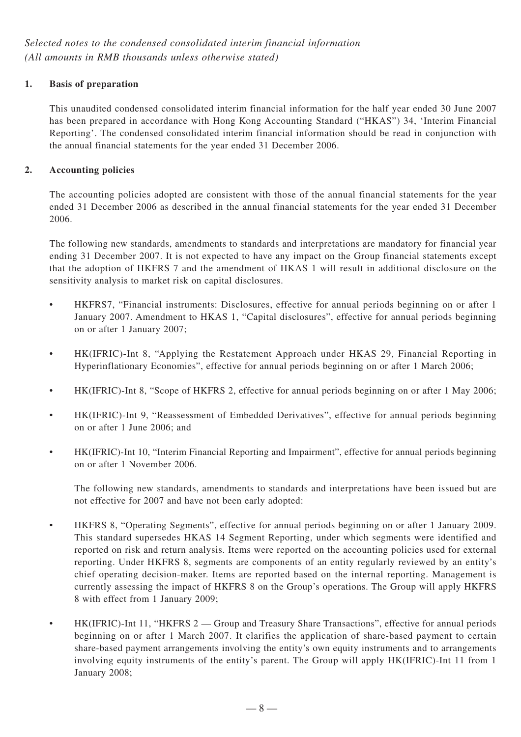### **1. Basis of preparation**

This unaudited condensed consolidated interim financial information for the half year ended 30 June 2007 has been prepared in accordance with Hong Kong Accounting Standard ("HKAS") 34, 'Interim Financial Reporting'. The condensed consolidated interim financial information should be read in conjunction with the annual financial statements for the year ended 31 December 2006.

### **2. Accounting policies**

The accounting policies adopted are consistent with those of the annual financial statements for the year ended 31 December 2006 as described in the annual financial statements for the year ended 31 December 2006.

The following new standards, amendments to standards and interpretations are mandatory for financial year ending 31 December 2007. It is not expected to have any impact on the Group financial statements except that the adoption of HKFRS 7 and the amendment of HKAS 1 will result in additional disclosure on the sensitivity analysis to market risk on capital disclosures.

- HKFRS7, "Financial instruments: Disclosures, effective for annual periods beginning on or after 1 January 2007. Amendment to HKAS 1, "Capital disclosures", effective for annual periods beginning on or after 1 January 2007;
- HK(IFRIC)-Int 8, "Applying the Restatement Approach under HKAS 29, Financial Reporting in Hyperinflationary Economies", effective for annual periods beginning on or after 1 March 2006;
- HK(IFRIC)-Int 8, "Scope of HKFRS 2, effective for annual periods beginning on or after 1 May 2006;
- HK(IFRIC)-Int 9, "Reassessment of Embedded Derivatives", effective for annual periods beginning on or after 1 June 2006; and
- HK(IFRIC)-Int 10, "Interim Financial Reporting and Impairment", effective for annual periods beginning on or after 1 November 2006.

The following new standards, amendments to standards and interpretations have been issued but are not effective for 2007 and have not been early adopted:

- HKFRS 8, "Operating Segments", effective for annual periods beginning on or after 1 January 2009. This standard supersedes HKAS 14 Segment Reporting, under which segments were identified and reported on risk and return analysis. Items were reported on the accounting policies used for external reporting. Under HKFRS 8, segments are components of an entity regularly reviewed by an entity's chief operating decision-maker. Items are reported based on the internal reporting. Management is currently assessing the impact of HKFRS 8 on the Group's operations. The Group will apply HKFRS 8 with effect from 1 January 2009;
- HK(IFRIC)-Int 11, "HKFRS 2 Group and Treasury Share Transactions", effective for annual periods beginning on or after 1 March 2007. It clarifies the application of share-based payment to certain share-based payment arrangements involving the entity's own equity instruments and to arrangements involving equity instruments of the entity's parent. The Group will apply HK(IFRIC)-Int 11 from 1 January 2008;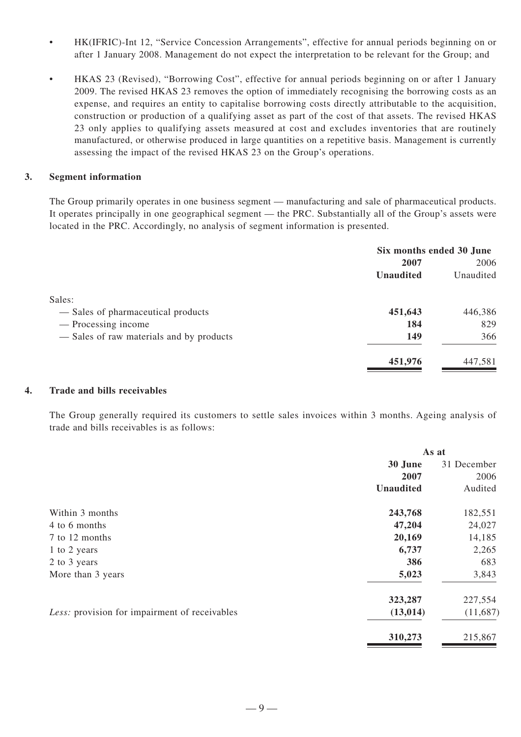- HK(IFRIC)-Int 12, "Service Concession Arrangements", effective for annual periods beginning on or after 1 January 2008. Management do not expect the interpretation to be relevant for the Group; and
- HKAS 23 (Revised), "Borrowing Cost", effective for annual periods beginning on or after 1 January 2009. The revised HKAS 23 removes the option of immediately recognising the borrowing costs as an expense, and requires an entity to capitalise borrowing costs directly attributable to the acquisition, construction or production of a qualifying asset as part of the cost of that assets. The revised HKAS 23 only applies to qualifying assets measured at cost and excludes inventories that are routinely manufactured, or otherwise produced in large quantities on a repetitive basis. Management is currently assessing the impact of the revised HKAS 23 on the Group's operations.

#### **3. Segment information**

The Group primarily operates in one business segment — manufacturing and sale of pharmaceutical products. It operates principally in one geographical segment — the PRC. Substantially all of the Group's assets were located in the PRC. Accordingly, no analysis of segment information is presented.

|                                          | Six months ended 30 June |           |  |
|------------------------------------------|--------------------------|-----------|--|
|                                          | 2007                     | 2006      |  |
|                                          | <b>Unaudited</b>         | Unaudited |  |
| Sales:                                   |                          |           |  |
| - Sales of pharmaceutical products       | 451,643                  | 446,386   |  |
| — Processing income                      | 184                      | 829       |  |
| — Sales of raw materials and by products | 149                      | 366       |  |
|                                          | 451,976                  | 447,581   |  |

#### **4. Trade and bills receivables**

The Group generally required its customers to settle sales invoices within 3 months. Ageing analysis of trade and bills receivables is as follows:

|                                               | As at            |             |  |
|-----------------------------------------------|------------------|-------------|--|
|                                               | 30 June          | 31 December |  |
|                                               | 2007             | 2006        |  |
|                                               | <b>Unaudited</b> | Audited     |  |
| Within 3 months                               | 243,768          | 182,551     |  |
| 4 to 6 months                                 | 47,204           | 24,027      |  |
| 7 to 12 months                                | 20,169           | 14,185      |  |
| 1 to 2 years                                  | 6,737            | 2,265       |  |
| 2 to 3 years                                  | 386              | 683         |  |
| More than 3 years                             | 5,023            | 3,843       |  |
|                                               | 323,287          | 227,554     |  |
| Less: provision for impairment of receivables | (13, 014)        | (11,687)    |  |
|                                               | 310,273          | 215,867     |  |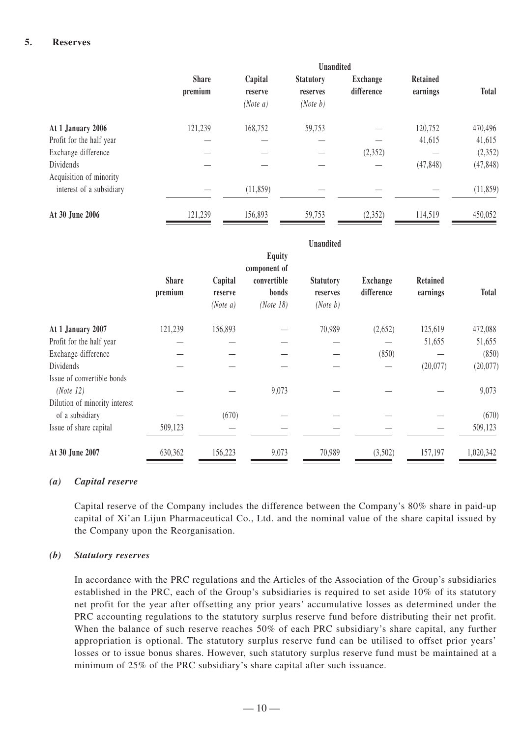#### **5. Reserves**

|                                      | <b>Unaudited</b>        |                                |                                          |                               |                      |              |
|--------------------------------------|-------------------------|--------------------------------|------------------------------------------|-------------------------------|----------------------|--------------|
|                                      | <b>Share</b><br>premium | Capital<br>reserve<br>(Note a) | <b>Statutory</b><br>reserves<br>(Note b) | <b>Exchange</b><br>difference | Retained<br>earnings | <b>Total</b> |
| At 1 January 2006                    | 121,239                 | 168,752                        | 59,753                                   |                               | 120,752              | 470,496      |
| Profit for the half year             |                         |                                |                                          |                               | 41,615               | 41,615       |
| Exchange difference                  |                         |                                |                                          | (2,352)                       |                      | (2, 352)     |
| Dividends<br>Acquisition of minority |                         |                                |                                          |                               | (47, 848)            | (47, 848)    |
| interest of a subsidiary             |                         | (11,859)                       |                                          |                               |                      | (11, 859)    |
| At 30 June 2006                      | 121,239                 | 156,893                        | 59,753                                   | (2,352)                       | 114,519              | 450,052      |

|                                                                          |                         |                                |                                                                    | <b>Unaudited</b>                         |                               |                             |              |
|--------------------------------------------------------------------------|-------------------------|--------------------------------|--------------------------------------------------------------------|------------------------------------------|-------------------------------|-----------------------------|--------------|
|                                                                          | <b>Share</b><br>premium | Capital<br>reserve<br>(Note a) | <b>Equity</b><br>component of<br>convertible<br>bonds<br>(Note 18) | <b>Statutory</b><br>reserves<br>(Note b) | <b>Exchange</b><br>difference | <b>Retained</b><br>earnings | <b>Total</b> |
| At 1 January 2007                                                        | 121,239                 | 156,893                        |                                                                    | 70,989                                   | (2,652)                       | 125,619                     | 472,088      |
| Profit for the half year                                                 |                         |                                |                                                                    |                                          |                               | 51,655                      | 51,655       |
| Exchange difference                                                      |                         |                                |                                                                    |                                          | (850)                         |                             | (850)        |
| Dividends                                                                |                         |                                |                                                                    |                                          |                               | (20,077)                    | (20,077)     |
| Issue of convertible bonds<br>(Note 12)<br>Dilution of minority interest |                         |                                | 9,073                                                              |                                          |                               |                             | 9,073        |
| of a subsidiary                                                          |                         | (670)                          |                                                                    |                                          |                               |                             | (670)        |
| Issue of share capital                                                   | 509,123                 |                                |                                                                    |                                          |                               |                             | 509,123      |
| At 30 June 2007                                                          | 630,362                 | 156,223                        | 9,073                                                              | 70,989                                   | (3,502)                       | 157,197                     | 1,020,342    |

#### *(a) Capital reserve*

Capital reserve of the Company includes the difference between the Company's 80% share in paid-up capital of Xi'an Lijun Pharmaceutical Co., Ltd. and the nominal value of the share capital issued by the Company upon the Reorganisation.

#### *(b) Statutory reserves*

In accordance with the PRC regulations and the Articles of the Association of the Group's subsidiaries established in the PRC, each of the Group's subsidiaries is required to set aside 10% of its statutory net profit for the year after offsetting any prior years' accumulative losses as determined under the PRC accounting regulations to the statutory surplus reserve fund before distributing their net profit. When the balance of such reserve reaches 50% of each PRC subsidiary's share capital, any further appropriation is optional. The statutory surplus reserve fund can be utilised to offset prior years' losses or to issue bonus shares. However, such statutory surplus reserve fund must be maintained at a minimum of 25% of the PRC subsidiary's share capital after such issuance.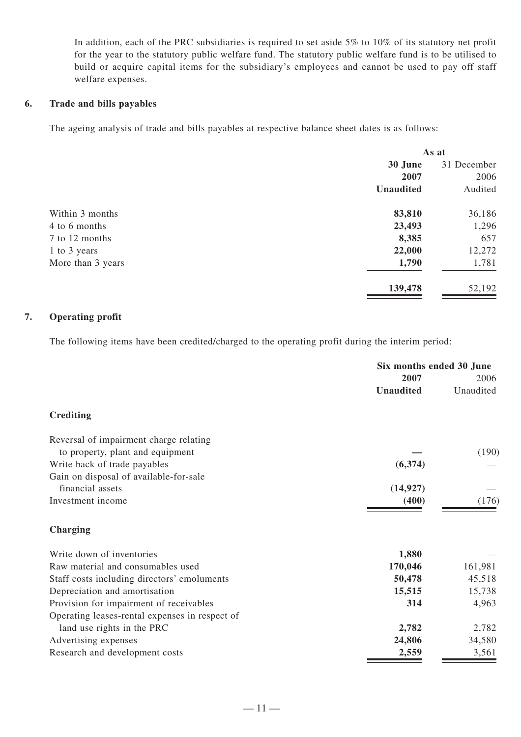In addition, each of the PRC subsidiaries is required to set aside 5% to 10% of its statutory net profit for the year to the statutory public welfare fund. The statutory public welfare fund is to be utilised to build or acquire capital items for the subsidiary's employees and cannot be used to pay off staff welfare expenses.

#### **6. Trade and bills payables**

The ageing analysis of trade and bills payables at respective balance sheet dates is as follows:

|                   |                  | As at       |  |  |
|-------------------|------------------|-------------|--|--|
|                   | 30 June          | 31 December |  |  |
|                   | 2007             | 2006        |  |  |
|                   | <b>Unaudited</b> | Audited     |  |  |
| Within 3 months   | 83,810           | 36,186      |  |  |
| 4 to 6 months     | 23,493           | 1,296       |  |  |
| 7 to 12 months    | 8,385            | 657         |  |  |
| 1 to 3 years      | 22,000           | 12,272      |  |  |
| More than 3 years | 1,790            | 1,781       |  |  |
|                   | 139,478          | 52,192      |  |  |

### **7. Operating profit**

The following items have been credited/charged to the operating profit during the interim period:

|                                                | Six months ended 30 June |           |  |
|------------------------------------------------|--------------------------|-----------|--|
|                                                | 2007                     | 2006      |  |
|                                                | <b>Unaudited</b>         | Unaudited |  |
| <b>Crediting</b>                               |                          |           |  |
| Reversal of impairment charge relating         |                          |           |  |
| to property, plant and equipment               |                          | (190)     |  |
| Write back of trade payables                   | (6, 374)                 |           |  |
| Gain on disposal of available-for-sale         |                          |           |  |
| financial assets                               | (14, 927)                |           |  |
| Investment income                              | (400)                    | (176)     |  |
| Charging                                       |                          |           |  |
| Write down of inventories                      | 1,880                    |           |  |
| Raw material and consumables used              | 170,046                  | 161,981   |  |
| Staff costs including directors' emoluments    | 50,478                   | 45,518    |  |
| Depreciation and amortisation                  | 15,515                   | 15,738    |  |
| Provision for impairment of receivables        | 314                      | 4,963     |  |
| Operating leases-rental expenses in respect of |                          |           |  |
| land use rights in the PRC                     | 2,782                    | 2,782     |  |
| Advertising expenses                           | 24,806                   | 34,580    |  |
| Research and development costs                 | 2,559                    | 3,561     |  |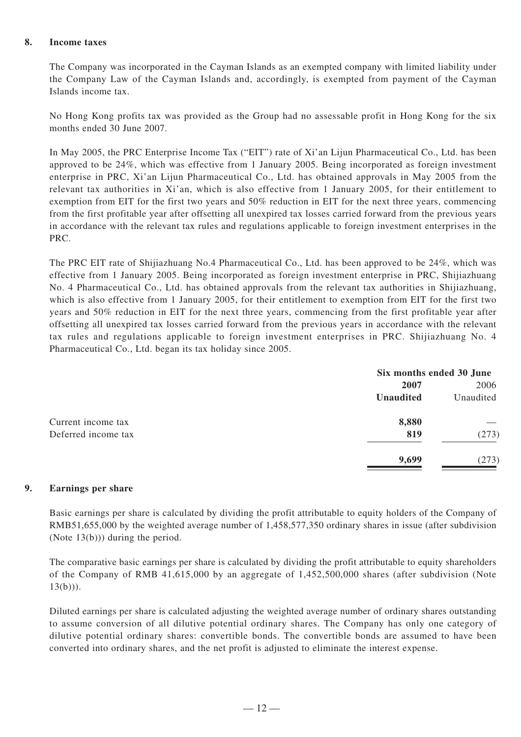#### **8. Income taxes**

The Company was incorporated in the Cayman Islands as an exempted company with limited liability under the Company Law of the Cayman Islands and, accordingly, is exempted from payment of the Cayman Islands income tax.

No Hong Kong profits tax was provided as the Group had no assessable profit in Hong Kong for the six months ended 30 June 2007.

In May 2005, the PRC Enterprise Income Tax ("EIT") rate of Xi'an Lijun Pharmaceutical Co., Ltd. has been approved to be 24%, which was effective from 1 January 2005. Being incorporated as foreign investment enterprise in PRC, Xi'an Lijun Pharmaceutical Co., Ltd. has obtained approvals in May 2005 from the relevant tax authorities in Xi'an, which is also effective from 1 January 2005, for their entitlement to exemption from EIT for the first two years and 50% reduction in EIT for the next three years, commencing from the first profitable year after offsetting all unexpired tax losses carried forward from the previous years in accordance with the relevant tax rules and regulations applicable to foreign investment enterprises in the PRC.

The PRC EIT rate of Shijiazhuang No.4 Pharmaceutical Co., Ltd. has been approved to be 24%, which was effective from 1 January 2005. Being incorporated as foreign investment enterprise in PRC, Shijiazhuang No. 4 Pharmaceutical Co., Ltd. has obtained approvals from the relevant tax authorities in Shijiazhuang, which is also effective from 1 January 2005, for their entitlement to exemption from EIT for the first two years and 50% reduction in EIT for the next three years, commencing from the first profitable year after offsetting all unexpired tax losses carried forward from the previous years in accordance with the relevant tax rules and regulations applicable to foreign investment enterprises in PRC. Shijiazhuang No. 4 Pharmaceutical Co., Ltd. began its tax holiday since 2005.

|                     | Six months ended 30 June |           |  |
|---------------------|--------------------------|-----------|--|
|                     | 2007                     | 2006      |  |
|                     | Unaudited                | Unaudited |  |
| Current income tax  | 8,880                    |           |  |
| Deferred income tax | 819                      | (273)     |  |
|                     | 9,699                    | (273)     |  |

#### **9. Earnings per share**

Basic earnings per share is calculated by dividing the profit attributable to equity holders of the Company of RMB51,655,000 by the weighted average number of 1,458,577,350 ordinary shares in issue (after subdivision (Note 13(b))) during the period.

The comparative basic earnings per share is calculated by dividing the profit attributable to equity shareholders of the Company of RMB 41,615,000 by an aggregate of 1,452,500,000 shares (after subdivision (Note  $13(b))$ ).

Diluted earnings per share is calculated adjusting the weighted average number of ordinary shares outstanding to assume conversion of all dilutive potential ordinary shares. The Company has only one category of dilutive potential ordinary shares: convertible bonds. The convertible bonds are assumed to have been converted into ordinary shares, and the net profit is adjusted to eliminate the interest expense.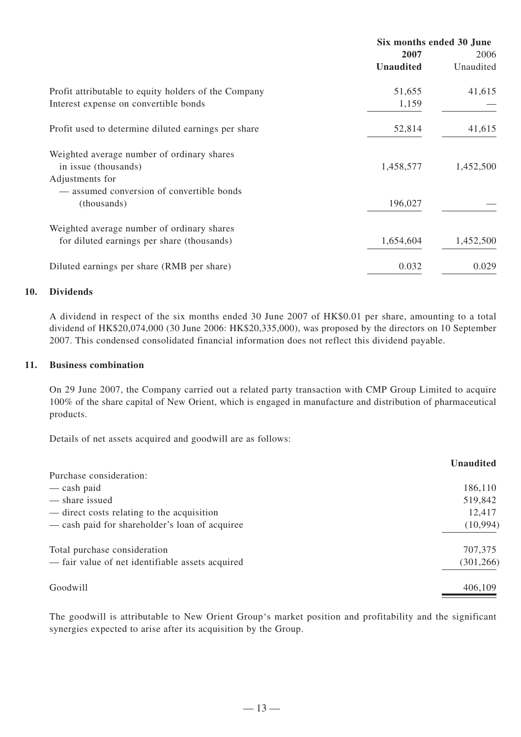| Six months ended 30 June |           |  |
|--------------------------|-----------|--|
| 2007                     | 2006      |  |
| <b>Unaudited</b>         | Unaudited |  |
| 51,655                   | 41,615    |  |
| 1,159                    |           |  |
| 52,814                   | 41,615    |  |
|                          |           |  |
| 1,458,577                | 1,452,500 |  |
|                          |           |  |
|                          |           |  |
| 196,027                  |           |  |
|                          |           |  |
| 1,654,604                | 1,452,500 |  |
| 0.032                    | 0.029     |  |
|                          |           |  |

#### **10. Dividends**

A dividend in respect of the six months ended 30 June 2007 of HK\$0.01 per share, amounting to a total dividend of HK\$20,074,000 (30 June 2006: HK\$20,335,000), was proposed by the directors on 10 September 2007. This condensed consolidated financial information does not reflect this dividend payable.

### **11. Business combination**

On 29 June 2007, the Company carried out a related party transaction with CMP Group Limited to acquire 100% of the share capital of New Orient, which is engaged in manufacture and distribution of pharmaceutical products.

Details of net assets acquired and goodwill are as follows:

|                                                  | <b>Unaudited</b> |
|--------------------------------------------------|------------------|
| Purchase consideration:                          |                  |
| — cash paid                                      | 186,110          |
| — share issued                                   | 519,842          |
| — direct costs relating to the acquisition       | 12,417           |
| — cash paid for shareholder's loan of acquiree   | (10, 994)        |
| Total purchase consideration                     | 707,375          |
| - fair value of net identifiable assets acquired | (301, 266)       |
| Goodwill                                         | 406,109          |

The goodwill is attributable to New Orient Group's market position and profitability and the significant synergies expected to arise after its acquisition by the Group.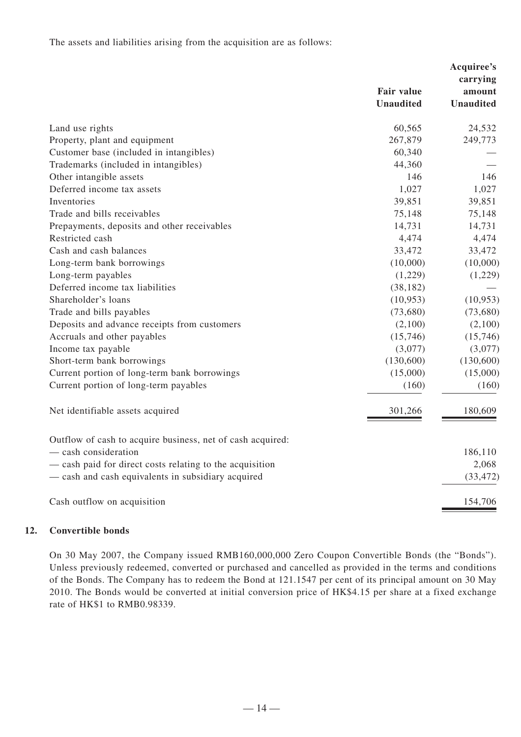The assets and liabilities arising from the acquisition are as follows:

|                                                            | <b>Fair value</b> | Acquiree's<br>carrying<br>amount |
|------------------------------------------------------------|-------------------|----------------------------------|
|                                                            | <b>Unaudited</b>  | <b>Unaudited</b>                 |
| Land use rights                                            | 60,565            | 24,532                           |
| Property, plant and equipment                              | 267,879           | 249,773                          |
| Customer base (included in intangibles)                    | 60,340            |                                  |
| Trademarks (included in intangibles)                       | 44,360            |                                  |
| Other intangible assets                                    | 146               | 146                              |
| Deferred income tax assets                                 | 1,027             | 1,027                            |
| Inventories                                                | 39,851            | 39,851                           |
| Trade and bills receivables                                | 75,148            | 75,148                           |
| Prepayments, deposits and other receivables                | 14,731            | 14,731                           |
| Restricted cash                                            | 4,474             | 4,474                            |
| Cash and cash balances                                     | 33,472            | 33,472                           |
| Long-term bank borrowings                                  | (10,000)          | (10,000)                         |
| Long-term payables                                         | (1,229)           | (1,229)                          |
| Deferred income tax liabilities                            | (38, 182)         |                                  |
| Shareholder's loans                                        | (10, 953)         | (10, 953)                        |
| Trade and bills payables                                   | (73,680)          | (73,680)                         |
| Deposits and advance receipts from customers               | (2,100)           | (2,100)                          |
| Accruals and other payables                                | (15,746)          | (15,746)                         |
| Income tax payable                                         | (3,077)           | (3,077)                          |
| Short-term bank borrowings                                 | (130,600)         | (130,600)                        |
| Current portion of long-term bank borrowings               | (15,000)          | (15,000)                         |
| Current portion of long-term payables                      | (160)             | (160)                            |
| Net identifiable assets acquired                           | 301,266           | 180,609                          |
| Outflow of cash to acquire business, net of cash acquired: |                   |                                  |
| $-$ cash consideration                                     |                   | 186,110                          |
| - cash paid for direct costs relating to the acquisition   |                   | 2,068                            |
| - cash and cash equivalents in subsidiary acquired         |                   | (33, 472)                        |
| Cash outflow on acquisition                                |                   | 154,706                          |

### **12. Convertible bonds**

On 30 May 2007, the Company issued RMB160,000,000 Zero Coupon Convertible Bonds (the "Bonds"). Unless previously redeemed, converted or purchased and cancelled as provided in the terms and conditions of the Bonds. The Company has to redeem the Bond at 121.1547 per cent of its principal amount on 30 May 2010. The Bonds would be converted at initial conversion price of HK\$4.15 per share at a fixed exchange rate of HK\$1 to RMB0.98339.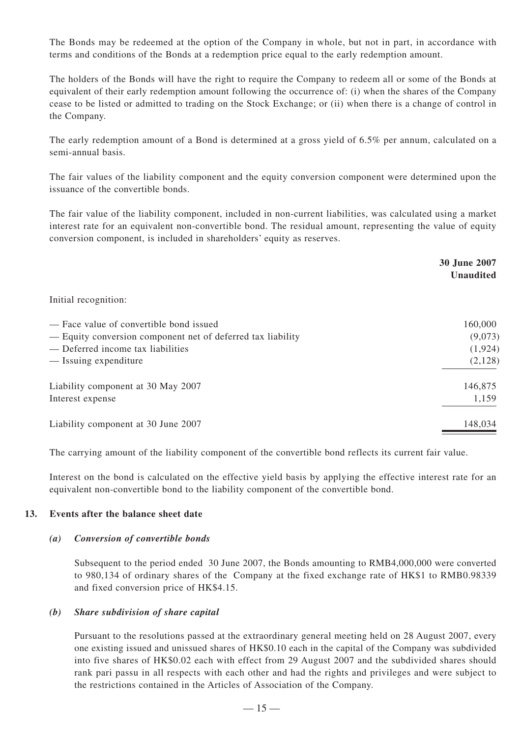The Bonds may be redeemed at the option of the Company in whole, but not in part, in accordance with terms and conditions of the Bonds at a redemption price equal to the early redemption amount.

The holders of the Bonds will have the right to require the Company to redeem all or some of the Bonds at equivalent of their early redemption amount following the occurrence of: (i) when the shares of the Company cease to be listed or admitted to trading on the Stock Exchange; or (ii) when there is a change of control in the Company.

The early redemption amount of a Bond is determined at a gross yield of 6.5% per annum, calculated on a semi-annual basis.

The fair values of the liability component and the equity conversion component were determined upon the issuance of the convertible bonds.

The fair value of the liability component, included in non-current liabilities, was calculated using a market interest rate for an equivalent non-convertible bond. The residual amount, representing the value of equity conversion component, is included in shareholders' equity as reserves.

|                                                             | <b>30 June 2007</b><br><b>Unaudited</b> |
|-------------------------------------------------------------|-----------------------------------------|
| Initial recognition:                                        |                                         |
| - Face value of convertible bond issued                     | 160,000                                 |
| - Equity conversion component net of deferred tax liability | (9,073)                                 |
| - Deferred income tax liabilities                           | (1, 924)                                |
| — Issuing expenditure                                       | (2,128)                                 |
| Liability component at 30 May 2007                          | 146,875                                 |
| Interest expense                                            | 1,159                                   |
| Liability component at 30 June 2007                         | 148,034                                 |

The carrying amount of the liability component of the convertible bond reflects its current fair value.

Interest on the bond is calculated on the effective yield basis by applying the effective interest rate for an equivalent non-convertible bond to the liability component of the convertible bond.

#### **13. Events after the balance sheet date**

#### *(a) Conversion of convertible bonds*

Subsequent to the period ended 30 June 2007, the Bonds amounting to RMB4,000,000 were converted to 980,134 of ordinary shares of the Company at the fixed exchange rate of HK\$1 to RMB0.98339 and fixed conversion price of HK\$4.15.

#### *(b) Share subdivision of share capital*

Pursuant to the resolutions passed at the extraordinary general meeting held on 28 August 2007, every one existing issued and unissued shares of HK\$0.10 each in the capital of the Company was subdivided into five shares of HK\$0.02 each with effect from 29 August 2007 and the subdivided shares should rank pari passu in all respects with each other and had the rights and privileges and were subject to the restrictions contained in the Articles of Association of the Company.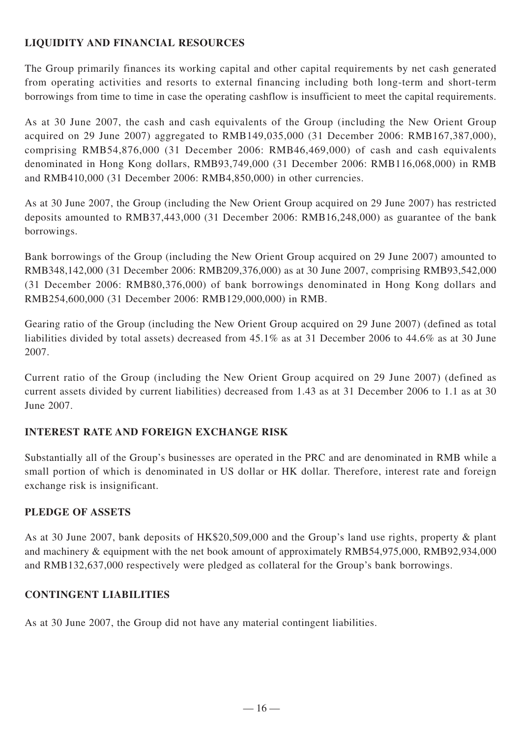# **LIQUIDITY AND FINANCIAL RESOURCES**

The Group primarily finances its working capital and other capital requirements by net cash generated from operating activities and resorts to external financing including both long-term and short-term borrowings from time to time in case the operating cashflow is insufficient to meet the capital requirements.

As at 30 June 2007, the cash and cash equivalents of the Group (including the New Orient Group acquired on 29 June 2007) aggregated to RMB149,035,000 (31 December 2006: RMB167,387,000), comprising RMB54,876,000 (31 December 2006: RMB46,469,000) of cash and cash equivalents denominated in Hong Kong dollars, RMB93,749,000 (31 December 2006: RMB116,068,000) in RMB and RMB410,000 (31 December 2006: RMB4,850,000) in other currencies.

As at 30 June 2007, the Group (including the New Orient Group acquired on 29 June 2007) has restricted deposits amounted to RMB37,443,000 (31 December 2006: RMB16,248,000) as guarantee of the bank borrowings.

Bank borrowings of the Group (including the New Orient Group acquired on 29 June 2007) amounted to RMB348,142,000 (31 December 2006: RMB209,376,000) as at 30 June 2007, comprising RMB93,542,000 (31 December 2006: RMB80,376,000) of bank borrowings denominated in Hong Kong dollars and RMB254,600,000 (31 December 2006: RMB129,000,000) in RMB.

Gearing ratio of the Group (including the New Orient Group acquired on 29 June 2007) (defined as total liabilities divided by total assets) decreased from 45.1% as at 31 December 2006 to 44.6% as at 30 June 2007.

Current ratio of the Group (including the New Orient Group acquired on 29 June 2007) (defined as current assets divided by current liabilities) decreased from 1.43 as at 31 December 2006 to 1.1 as at 30 June 2007.

# **INTEREST RATE AND FOREIGN EXCHANGE RISK**

Substantially all of the Group's businesses are operated in the PRC and are denominated in RMB while a small portion of which is denominated in US dollar or HK dollar. Therefore, interest rate and foreign exchange risk is insignificant.

# **PLEDGE OF ASSETS**

As at 30 June 2007, bank deposits of HK\$20,509,000 and the Group's land use rights, property & plant and machinery & equipment with the net book amount of approximately RMB54,975,000, RMB92,934,000 and RMB132,637,000 respectively were pledged as collateral for the Group's bank borrowings.

### **CONTINGENT LIABILITIES**

As at 30 June 2007, the Group did not have any material contingent liabilities.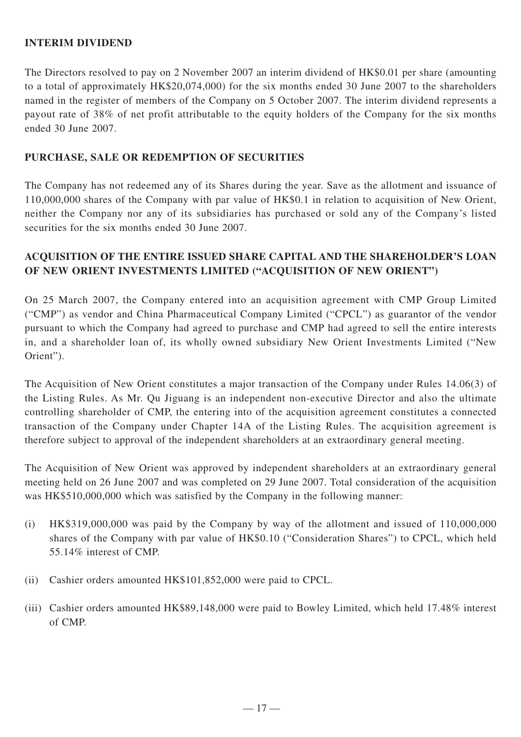### **INTERIM DIVIDEND**

The Directors resolved to pay on 2 November 2007 an interim dividend of HK\$0.01 per share (amounting to a total of approximately HK\$20,074,000) for the six months ended 30 June 2007 to the shareholders named in the register of members of the Company on 5 October 2007. The interim dividend represents a payout rate of 38% of net profit attributable to the equity holders of the Company for the six months ended 30 June 2007.

## **PURCHASE, SALE OR REDEMPTION OF SECURITIES**

The Company has not redeemed any of its Shares during the year. Save as the allotment and issuance of 110,000,000 shares of the Company with par value of HK\$0.1 in relation to acquisition of New Orient, neither the Company nor any of its subsidiaries has purchased or sold any of the Company's listed securities for the six months ended 30 June 2007.

# **ACQUISITION OF THE ENTIRE ISSUED SHARE CAPITAL AND THE SHAREHOLDER'S LOAN OF NEW ORIENT INVESTMENTS LIMITED ("ACQUISITION OF NEW ORIENT")**

On 25 March 2007, the Company entered into an acquisition agreement with CMP Group Limited ("CMP") as vendor and China Pharmaceutical Company Limited ("CPCL") as guarantor of the vendor pursuant to which the Company had agreed to purchase and CMP had agreed to sell the entire interests in, and a shareholder loan of, its wholly owned subsidiary New Orient Investments Limited ("New Orient").

The Acquisition of New Orient constitutes a major transaction of the Company under Rules 14.06(3) of the Listing Rules. As Mr. Qu Jiguang is an independent non-executive Director and also the ultimate controlling shareholder of CMP, the entering into of the acquisition agreement constitutes a connected transaction of the Company under Chapter 14A of the Listing Rules. The acquisition agreement is therefore subject to approval of the independent shareholders at an extraordinary general meeting.

The Acquisition of New Orient was approved by independent shareholders at an extraordinary general meeting held on 26 June 2007 and was completed on 29 June 2007. Total consideration of the acquisition was HK\$510,000,000 which was satisfied by the Company in the following manner:

- (i) HK\$319,000,000 was paid by the Company by way of the allotment and issued of 110,000,000 shares of the Company with par value of HK\$0.10 ("Consideration Shares") to CPCL, which held 55.14% interest of CMP.
- (ii) Cashier orders amounted HK\$101,852,000 were paid to CPCL.
- (iii) Cashier orders amounted HK\$89,148,000 were paid to Bowley Limited, which held 17.48% interest of CMP.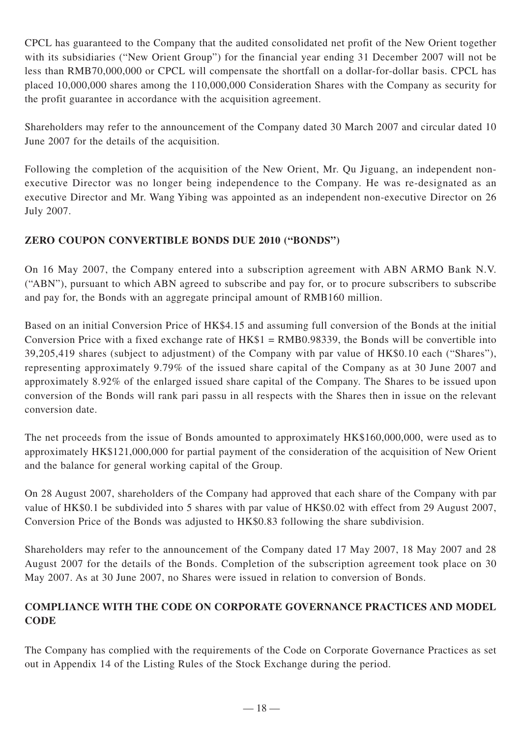CPCL has guaranteed to the Company that the audited consolidated net profit of the New Orient together with its subsidiaries ("New Orient Group") for the financial year ending 31 December 2007 will not be less than RMB70,000,000 or CPCL will compensate the shortfall on a dollar-for-dollar basis. CPCL has placed 10,000,000 shares among the 110,000,000 Consideration Shares with the Company as security for the profit guarantee in accordance with the acquisition agreement.

Shareholders may refer to the announcement of the Company dated 30 March 2007 and circular dated 10 June 2007 for the details of the acquisition.

Following the completion of the acquisition of the New Orient, Mr. Qu Jiguang, an independent nonexecutive Director was no longer being independence to the Company. He was re-designated as an executive Director and Mr. Wang Yibing was appointed as an independent non-executive Director on 26 July 2007.

# **ZERO COUPON CONVERTIBLE BONDS DUE 2010 ("BONDS")**

On 16 May 2007, the Company entered into a subscription agreement with ABN ARMO Bank N.V. ("ABN"), pursuant to which ABN agreed to subscribe and pay for, or to procure subscribers to subscribe and pay for, the Bonds with an aggregate principal amount of RMB160 million.

Based on an initial Conversion Price of HK\$4.15 and assuming full conversion of the Bonds at the initial Conversion Price with a fixed exchange rate of HK\$1 = RMB0.98339, the Bonds will be convertible into 39,205,419 shares (subject to adjustment) of the Company with par value of HK\$0.10 each ("Shares"), representing approximately 9.79% of the issued share capital of the Company as at 30 June 2007 and approximately 8.92% of the enlarged issued share capital of the Company. The Shares to be issued upon conversion of the Bonds will rank pari passu in all respects with the Shares then in issue on the relevant conversion date.

The net proceeds from the issue of Bonds amounted to approximately HK\$160,000,000, were used as to approximately HK\$121,000,000 for partial payment of the consideration of the acquisition of New Orient and the balance for general working capital of the Group.

On 28 August 2007, shareholders of the Company had approved that each share of the Company with par value of HK\$0.1 be subdivided into 5 shares with par value of HK\$0.02 with effect from 29 August 2007, Conversion Price of the Bonds was adjusted to HK\$0.83 following the share subdivision.

Shareholders may refer to the announcement of the Company dated 17 May 2007, 18 May 2007 and 28 August 2007 for the details of the Bonds. Completion of the subscription agreement took place on 30 May 2007. As at 30 June 2007, no Shares were issued in relation to conversion of Bonds.

# **COMPLIANCE WITH THE CODE ON CORPORATE GOVERNANCE PRACTICES AND MODEL CODE**

The Company has complied with the requirements of the Code on Corporate Governance Practices as set out in Appendix 14 of the Listing Rules of the Stock Exchange during the period.